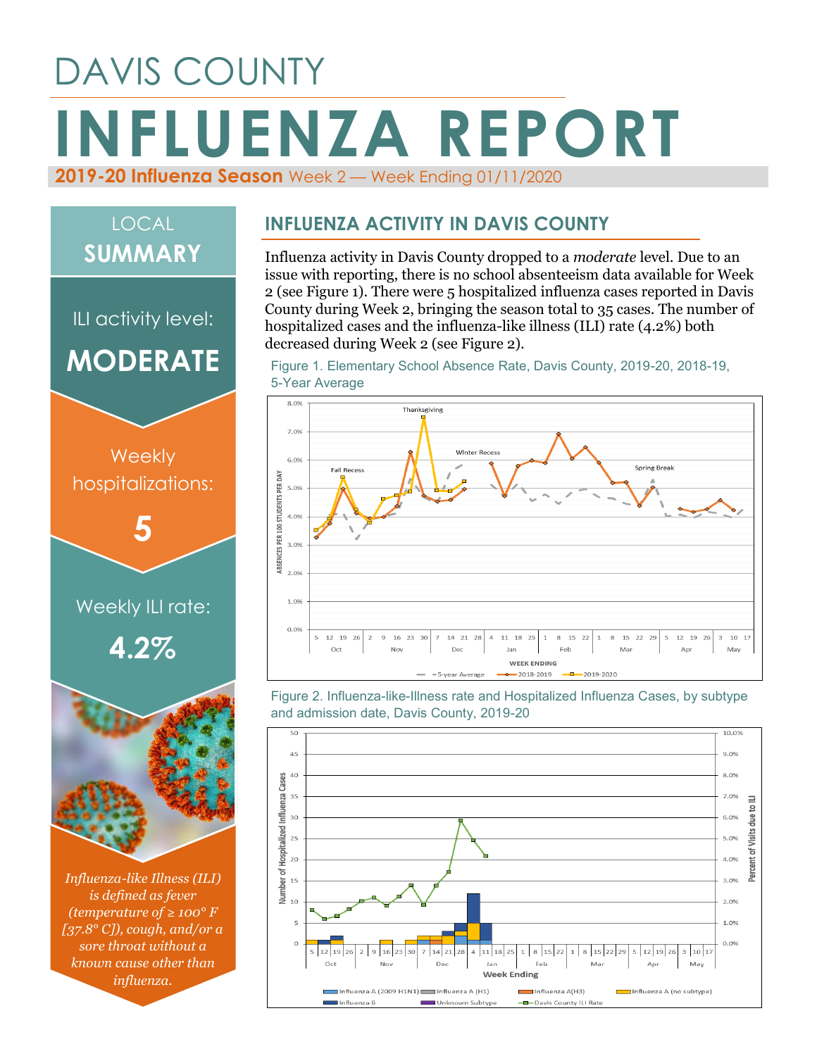# DAVIS COUNTY **INFLUENZA REPORT 2019-20 Influenza Season** Week 2 — Week Ending 01/11/2020

## LOCAL **SUMMARY**

ILI activity level: **MODERATE**



*Influenza-like Illness (ILI) is defined as fever (temperature of ≥ 100° F [37.8° C]), cough, and/or a sore throat without a known cause other than influenza.*

#### **INFLUENZA ACTIVITY IN DAVIS COUNTY**

Influenza activity in Davis County dropped to a *moderate* level. Due to an issue with reporting, there is no school absenteeism data available for Week 2 (see Figure 1). There were 5 hospitalized influenza cases reported in Davis County during Week 2, bringing the season total to 35 cases. The number of hospitalized cases and the influenza-like illness (ILI) rate (4.2%) both decreased during Week 2 (see Figure 2).





Figure 2. Influenza-like-Illness rate and Hospitalized Influenza Cases, by subtype and admission date, Davis County, 2019-20